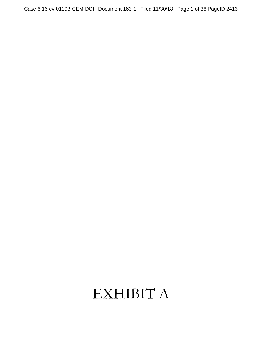# EXHIBIT A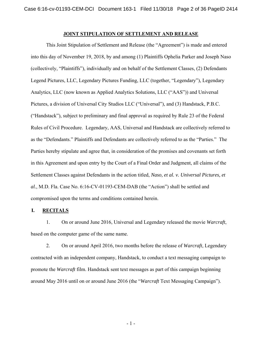# **JOINT STIPULATION OF SETTLEMENT AND RELEASE**

This Joint Stipulation of Settlement and Release (the "Agreement") is made and entered into this day of November 19, 2018, by and among (1) Plaintiffs Ophelia Parker and Joseph Naso (collectively, "Plaintiffs"), individually and on behalf of the Settlement Classes, (2) Defendants Legend Pictures, LLC, Legendary Pictures Funding, LLC (together, "Legendary"), Legendary Analytics, LLC (now known as Applied Analytics Solutions, LLC ("AAS")) and Universal Pictures, a division of Universal City Studios LLC ("Universal"), and (3) Handstack, P.B.C. ("Handstack"), subject to preliminary and final approval as required by Rule 23 of the Federal Rules of Civil Procedure. Legendary, AAS, Universal and Handstack are collectively referred to as the "Defendants." Plaintiffs and Defendants are collectively referred to as the "Parties." The Parties hereby stipulate and agree that, in consideration of the promises and covenants set forth in this Agreement and upon entry by the Court of a Final Order and Judgment, all claims of the Settlement Classes against Defendants in the action titled, *Naso, et al. v. Universal Pictures, et al.*, M.D. Fla. Case No. 6:16-CV-01193-CEM-DAB (the "Action") shall be settled and compromised upon the terms and conditions contained herein.

## **I. RECITALS**

1. On or around June 2016, Universal and Legendary released the movie *Warcraft*, based on the computer game of the same name.

2. On or around April 2016, two months before the release of *Warcraft*, Legendary contracted with an independent company, Handstack, to conduct a text messaging campaign to promote the *Warcraft* film. Handstack sent text messages as part of this campaign beginning around May 2016 until on or around June 2016 (the "*Warcraft* Text Messaging Campaign").

- 1 -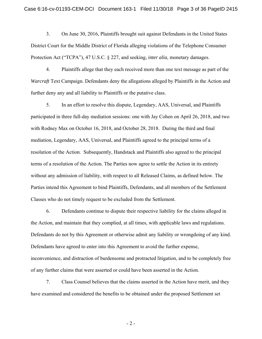3. On June 30, 2016, Plaintiffs brought suit against Defendants in the United States District Court for the Middle District of Florida alleging violations of the Telephone Consumer Protection Act ("TCPA"), 47 U.S.C. § 227, and seeking, *inter alia*, monetary damages.

4. Plaintiffs allege that they each received more than one text message as part of the *Warcraft* Text Campaign. Defendants deny the allegations alleged by Plaintiffs in the Action and further deny any and all liability to Plaintiffs or the putative class.

5. In an effort to resolve this dispute, Legendary, AAS, Universal, and Plaintiffs participated in three full-day mediation sessions: one with Jay Cohen on April 26, 2018, and two with Rodney Max on October 16, 2018, and October 28, 2018. During the third and final mediation, Legendary, AAS, Universal, and Plaintiffs agreed to the principal terms of a resolution of the Action. Subsequently, Handstack and Plaintiffs also agreed to the principal terms of a resolution of the Action. The Parties now agree to settle the Action in its entirety without any admission of liability, with respect to all Released Claims, as defined below. The Parties intend this Agreement to bind Plaintiffs, Defendants, and all members of the Settlement Classes who do not timely request to be excluded from the Settlement.

6. Defendants continue to dispute their respective liability for the claims alleged in the Action, and maintain that they complied, at all times, with applicable laws and regulations. Defendants do not by this Agreement or otherwise admit any liability or wrongdoing of any kind. Defendants have agreed to enter into this Agreement to avoid the further expense, inconvenience, and distraction of burdensome and protracted litigation, and to be completely free of any further claims that were asserted or could have been asserted in the Action.

7. Class Counsel believes that the claims asserted in the Action have merit, and they have examined and considered the benefits to be obtained under the proposed Settlement set

- 2 -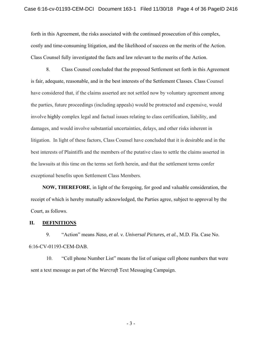forth in this Agreement, the risks associated with the continued prosecution of this complex, costly and time-consuming litigation, and the likelihood of success on the merits of the Action. Class Counsel fully investigated the facts and law relevant to the merits of the Action.

8. Class Counsel concluded that the proposed Settlement set forth in this Agreement is fair, adequate, reasonable, and in the best interests of the Settlement Classes. Class Counsel have considered that, if the claims asserted are not settled now by voluntary agreement among the parties, future proceedings (including appeals) would be protracted and expensive, would involve highly complex legal and factual issues relating to class certification, liability, and damages, and would involve substantial uncertainties, delays, and other risks inherent in litigation. In light of these factors, Class Counsel have concluded that it is desirable and in the best interests of Plaintiffs and the members of the putative class to settle the claims asserted in the lawsuits at this time on the terms set forth herein, and that the settlement terms confer exceptional benefits upon Settlement Class Members.

**NOW, THEREFORE**, in light of the foregoing, for good and valuable consideration, the receipt of which is hereby mutually acknowledged, the Parties agree, subject to approval by the Court, as follows.

## **II. DEFINITIONS**

9. "Action" means *Naso, et al. v. Universal Pictures, et al.*, M.D. Fla. Case No. 6:16-CV-01193-CEM-DAB.

10. "Cell phone Number List" means the list of unique cell phone numbers that were sent a text message as part of the *Warcraft* Text Messaging Campaign.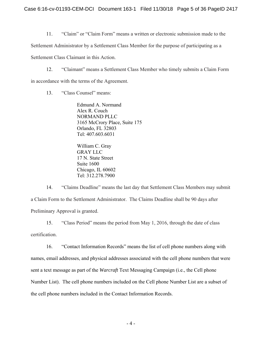11. "Claim" or "Claim Form" means a written or electronic submission made to the

Settlement Administrator by a Settlement Class Member for the purpose of participating as a

Settlement Class Claimant in this Action.

12. "Claimant" means a Settlement Class Member who timely submits a Claim Form in accordance with the terms of the Agreement.

13. "Class Counsel" means:

Edmund A. Normand Alex R. Couch NORMAND PLLC 3165 McCrory Place, Suite 175 Orlando, FL 32803 Tel: 407.603.6031

William C. Gray GRAY LLC 17 N. State Street Suite 1600 Chicago, IL 60602 Tel: 312.278.7900

14. "Claims Deadline" means the last day that Settlement Class Members may submit a Claim Form to the Settlement Administrator. The Claims Deadline shall be 90 days after Preliminary Approval is granted.

15. "Class Period" means the period from May 1, 2016, through the date of class certification.

16. "Contact Information Records" means the list of cell phone numbers along with names, email addresses, and physical addresses associated with the cell phone numbers that were sent a text message as part of the *Warcraft* Text Messaging Campaign (i.e., the Cell phone Number List). The cell phone numbers included on the Cell phone Number List are a subset of the cell phone numbers included in the Contact Information Records.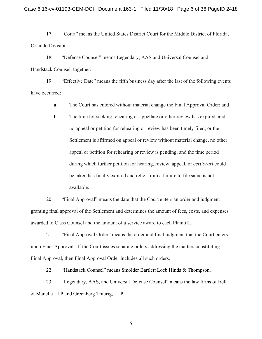17. "Court" means the United States District Court for the Middle District of Florida, Orlando Division.

18. "Defense Counsel" means Legendary, AAS and Universal Counsel and Handstack Counsel, together.

19. "Effective Date" means the fifth business day after the last of the following events have occurred:

a. The Court has entered without material change the Final Approval Order; and

b. The time for seeking rehearing or appellate or other review has expired, and no appeal or petition for rehearing or review has been timely filed; or the Settlement is affirmed on appeal or review without material change, no other appeal or petition for rehearing or review is pending, and the time period during which further petition for hearing, review, appeal, or *certiorari* could be taken has finally expired and relief from a failure to file same is not available.

20. "Final Approval" means the date that the Court enters an order and judgment granting final approval of the Settlement and determines the amount of fees, costs, and expenses awarded to Class Counsel and the amount of a service award to each Plaintiff.

21. "Final Approval Order" means the order and final judgment that the Court enters upon Final Approval. If the Court issues separate orders addressing the matters constituting Final Approval, then Final Approval Order includes all such orders.

22. "Handstack Counsel" means Smolder Bartlett Loeb Hinds & Thompson.

23. "Legendary, AAS, and Universal Defense Counsel" means the law firms of Irell & Manella LLP and Greenberg Traurig, LLP.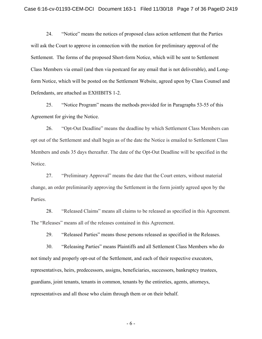24. "Notice" means the notices of proposed class action settlement that the Parties will ask the Court to approve in connection with the motion for preliminary approval of the Settlement. The forms of the proposed Short-form Notice, which will be sent to Settlement Class Members via email (and then via postcard for any email that is not deliverable), and Longform Notice, which will be posted on the Settlement Website, agreed upon by Class Counsel and Defendants, are attached as EXHIBITS 1-2.

25. "Notice Program" means the methods provided for in Paragraphs 53-55 of this Agreement for giving the Notice.

26. "Opt-Out Deadline" means the deadline by which Settlement Class Members can opt out of the Settlement and shall begin as of the date the Notice is emailed to Settlement Class Members and ends 35 days thereafter. The date of the Opt-Out Deadline will be specified in the Notice.

27. "Preliminary Approval" means the date that the Court enters, without material change, an order preliminarily approving the Settlement in the form jointly agreed upon by the Parties.

28. "Released Claims" means all claims to be released as specified in this Agreement. The "Releases" means all of the releases contained in this Agreement.

29. "Released Parties" means those persons released as specified in the Releases.

30. "Releasing Parties" means Plaintiffs and all Settlement Class Members who do not timely and properly opt-out of the Settlement, and each of their respective executors, representatives, heirs, predecessors, assigns, beneficiaries, successors, bankruptcy trustees, guardians, joint tenants, tenants in common, tenants by the entireties, agents, attorneys, representatives and all those who claim through them or on their behalf.

- 6 -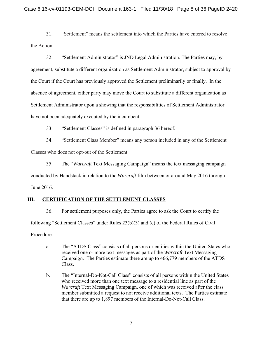31. "Settlement" means the settlement into which the Parties have entered to resolve the Action.

32. "Settlement Administrator" is JND Legal Administration. The Parties may, by agreement, substitute a different organization as Settlement Administrator, subject to approval by the Court if the Court has previously approved the Settlement preliminarily or finally. In the absence of agreement, either party may move the Court to substitute a different organization as Settlement Administrator upon a showing that the responsibilities of Settlement Administrator have not been adequately executed by the incumbent.

33. "Settlement Classes" is defined in paragraph 36 hereof.

34. "Settlement Class Member" means any person included in any of the Settlement Classes who does not opt-out of the Settlement.

35. The "*Warcraft* Text Messaging Campaign" means the text messaging campaign conducted by Handstack in relation to the *Warcraft* film between or around May 2016 through June 2016.

# **III. CERTIFICATION OF THE SETTLEMENT CLASSES**

36. For settlement purposes only, the Parties agree to ask the Court to certify the following "Settlement Classes" under Rules 23(b)(3) and (e) of the Federal Rules of Civil Procedure:

- a. The "ATDS Class" consists of all persons or entities within the United States who received one or more text messages as part of the *Warcraft* Text Messaging Campaign. The Parties estimate there are up to 466,779 members of the ATDS Class.
- b. The "Internal-Do-Not-Call Class" consists of all persons within the United States who received more than one text message to a residential line as part of the *Warcraft* Text Messaging Campaign, one of which was received after the class member submitted a request to not receive additional texts. The Parties estimate that there are up to 1,897 members of the Internal-Do-Not-Call Class.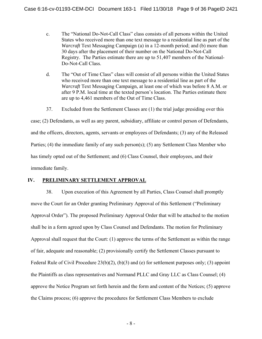- c. The "National Do-Not-Call Class" class consists of all persons within the United States who received more than one text message to a residential line as part of the *Warcraft* Text Messaging Campaign (a) in a 12-month period; and (b) more than 30 days after the placement of their number on the National Do-Not-Call Registry. The Parties estimate there are up to 51,407 members of the National-Do-Not-Call Class.
- d. The "Out of Time Class" class will consist of all persons within the United States who received more than one text message to a residential line as part of the *Warcraft* Text Messaging Campaign, at least one of which was before 8 A.M. or after 9 P.M. local time at the texted person's location. The Parties estimate there are up to 4,461 members of the Out of Time Class.
- 37. Excluded from the Settlement Classes are (1) the trial judge presiding over this

case; (2) Defendants, as well as any parent, subsidiary, affiliate or control person of Defendants, and the officers, directors, agents, servants or employees of Defendants; (3) any of the Released Parties; (4) the immediate family of any such person(s); (5) any Settlement Class Member who has timely opted out of the Settlement; and (6) Class Counsel, their employees, and their immediate family.

# **IV. PRELIMINARY SETTLEMENT APPROVAL**

38. Upon execution of this Agreement by all Parties, Class Counsel shall promptly move the Court for an Order granting Preliminary Approval of this Settlement ("Preliminary Approval Order"). The proposed Preliminary Approval Order that will be attached to the motion shall be in a form agreed upon by Class Counsel and Defendants. The motion for Preliminary Approval shall request that the Court: (1) approve the terms of the Settlement as within the range of fair, adequate and reasonable; (2) provisionally certify the Settlement Classes pursuant to Federal Rule of Civil Procedure 23(b)(2), (b)(3) and (e) for settlement purposes only; (3) appoint the Plaintiffs as class representatives and Normand PLLC and Gray LLC as Class Counsel; (4) approve the Notice Program set forth herein and the form and content of the Notices; (5) approve the Claims process; (6) approve the procedures for Settlement Class Members to exclude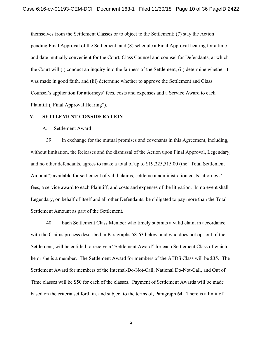themselves from the Settlement Classes or to object to the Settlement; (7) stay the Action pending Final Approval of the Settlement; and (8) schedule a Final Approval hearing for a time and date mutually convenient for the Court, Class Counsel and counsel for Defendants, at which the Court will (i) conduct an inquiry into the fairness of the Settlement, (ii) determine whether it was made in good faith, and (iii) determine whether to approve the Settlement and Class Counsel's application for attorneys' fees, costs and expenses and a Service Award to each Plaintiff ("Final Approval Hearing").

## **V. SETTLEMENT CONSIDERATION**

## A. Settlement Award

39. In exchange for the mutual promises and covenants in this Agreement, including, without limitation, the Releases and the dismissal of the Action upon Final Approval, Legendary, and no other defendants, agrees to make a total of up to \$19,225,515.00 (the "Total Settlement Amount") available for settlement of valid claims, settlement administration costs, attorneys' fees, a service award to each Plaintiff, and costs and expenses of the litigation. In no event shall Legendary, on behalf of itself and all other Defendants, be obligated to pay more than the Total Settlement Amount as part of the Settlement.

40. Each Settlement Class Member who timely submits a valid claim in accordance with the Claims process described in Paragraphs 58-63 below, and who does not opt-out of the Settlement, will be entitled to receive a "Settlement Award" for each Settlement Class of which he or she is a member. The Settlement Award for members of the ATDS Class will be \$35. The Settlement Award for members of the Internal-Do-Not-Call, National Do-Not-Call, and Out of Time classes will be \$50 for each of the classes. Payment of Settlement Awards will be made based on the criteria set forth in, and subject to the terms of, Paragraph 64. There is a limit of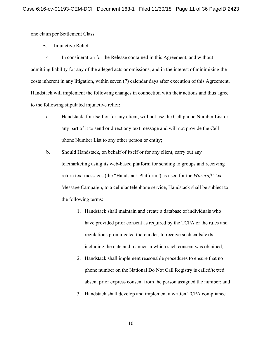one claim per Settlement Class.

# B. Injunctive Relief

41. In consideration for the Release contained in this Agreement, and without admitting liability for any of the alleged acts or omissions, and in the interest of minimizing the costs inherent in any litigation, within seven (7) calendar days after execution of this Agreement, Handstack will implement the following changes in connection with their actions and thus agree to the following stipulated injunctive relief:

- a. Handstack, for itself or for any client, will not use the Cell phone Number List or any part of it to send or direct any text message and will not provide the Cell phone Number List to any other person or entity;
- b. Should Handstack, on behalf of itself or for any client, carry out any telemarketing using its web-based platform for sending to groups and receiving return text messages (the "Handstack Platform") as used for the *Warcraft* Text Message Campaign, to a cellular telephone service, Handstack shall be subject to the following terms:
	- 1. Handstack shall maintain and create a database of individuals who have provided prior consent as required by the TCPA or the rules and regulations promulgated thereunder, to receive such calls/texts, including the date and manner in which such consent was obtained;
	- 2. Handstack shall implement reasonable procedures to ensure that no phone number on the National Do Not Call Registry is called/texted absent prior express consent from the person assigned the number; and
	- 3. Handstack shall develop and implement a written TCPA compliance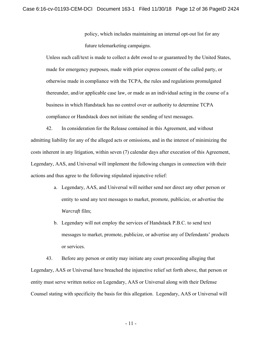policy, which includes maintaining an internal opt-out list for any future telemarketing campaigns.

Unless such call/text is made to collect a debt owed to or guaranteed by the United States, made for emergency purposes, made with prior express consent of the called party, or otherwise made in compliance with the TCPA, the rules and regulations promulgated thereunder, and/or applicable case law, or made as an individual acting in the course of a business in which Handstack has no control over or authority to determine TCPA compliance or Handstack does not initiate the sending of text messages.

42. In consideration for the Release contained in this Agreement, and without admitting liability for any of the alleged acts or omissions, and in the interest of minimizing the costs inherent in any litigation, within seven (7) calendar days after execution of this Agreement, Legendary, AAS, and Universal will implement the following changes in connection with their actions and thus agree to the following stipulated injunctive relief:

- a. Legendary, AAS, and Universal will neither send nor direct any other person or entity to send any text messages to market, promote, publicize, or advertise the *Warcraft* film;
- b. Legendary will not employ the services of Handstack P.B.C. to send text messages to market, promote, publicize, or advertise any of Defendants' products or services.

43. Before any person or entity may initiate any court proceeding alleging that Legendary, AAS or Universal have breached the injunctive relief set forth above, that person or entity must serve written notice on Legendary, AAS or Universal along with their Defense Counsel stating with specificity the basis for this allegation. Legendary, AAS or Universal will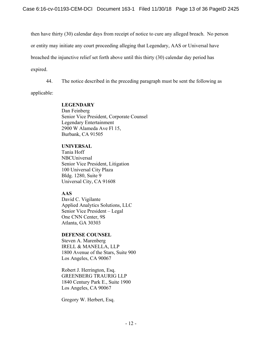then have thirty (30) calendar days from receipt of notice to cure any alleged breach. No person

or entity may initiate any court proceeding alleging that Legendary, AAS or Universal have

breached the injunctive relief set forth above until this thirty (30) calendar day period has

expired.

44. The notice described in the preceding paragraph must be sent the following as

applicable:

# **LEGENDARY**

Dan Feinberg Senior Vice President, Corporate Counsel Legendary Entertainment 2900 W Alameda Ave Fl 15, Burbank, CA 91505

# **UNIVERSAL**

Tania Hoff NBCUniversal Senior Vice President, Litigation 100 Universal City Plaza Bldg. 1280, Suite 9 Universal City, CA 91608

# **AAS**

David C. Vigilante Applied Analytics Solutions, LLC Senior Vice President – Legal One CNN Center, 9S Atlanta, GA 30303

# **DEFENSE COUNSEL**

Steven A. Marenberg IRELL & MANELLA, LLP 1800 Avenue of the Stars, Suite 900 Los Angeles, CA 90067

Robert J. Herrington, Esq. GREENBERG TRAURIG LLP 1840 Century Park E., Suite 1900 Los Angeles, CA 90067

Gregory W. Herbert, Esq.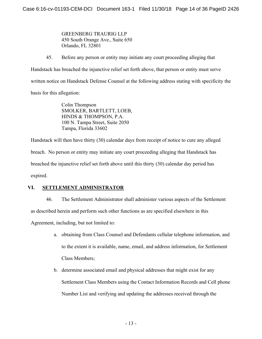GREENBERG TRAURIG LLP 450 South Orange Ave., Suite 650 Orlando, FL 32801

45. Before any person or entity may initiate any court proceeding alleging that Handstack has breached the injunctive relief set forth above, that person or entity must serve written notice on Handstack Defense Counsel at the following address stating with specificity the basis for this allegation:

> Colin Thompson SMOLKER, BARTLETT, LOEB, HINDS & THOMPSON, P.A. 100 N. Tampa Street, Suite 2050 Tampa, Florida 33602

Handstack will then have thirty (30) calendar days from receipt of notice to cure any alleged breach. No person or entity may initiate any court proceeding alleging that Handstack has breached the injunctive relief set forth above until this thirty (30) calendar day period has expired.

# **VI. SETTLEMENT ADMINISTRATOR**

46. The Settlement Administrator shall administer various aspects of the Settlement as described herein and perform such other functions as are specified elsewhere in this Agreement, including, but not limited to:

- a. obtaining from Class Counsel and Defendants cellular telephone information, and to the extent it is available, name, email, and address information, for Settlement Class Members;
- b. determine associated email and physical addresses that might exist for any Settlement Class Members using the Contact Information Records and Cell phone Number List and verifying and updating the addresses received through the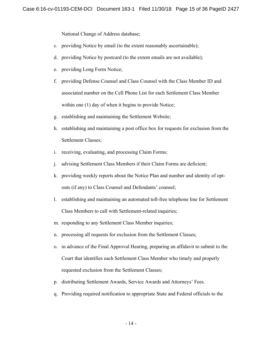National Change of Address database;

- c. providing Notice by email (to the extent reasonably ascertainable);
- d. providing Notice by postcard (to the extent emails are not available);
- e. providing Long Form Notice;
- f. providing Defense Counsel and Class Counsel with the Class Member ID and associated number on the Cell Phone List for each Settlement Class Member within one (1) day of when it begins to provide Notice;
- g. establishing and maintaining the Settlement Website;
- h. establishing and maintaining a post office box for requests for exclusion from the Settlement Classes;
- i. receiving, evaluating, and processing Claim Forms;
- j. advising Settlement Class Members if their Claim Forms are deficient;
- k. providing weekly reports about the Notice Plan and number and identity of optouts (if any) to Class Counsel and Defendants' counsel;
- l. establishing and maintaining an automated toll-free telephone line for Settlement Class Members to call with Settlement-related inquiries;
- m. responding to any Settlement Class Member inquiries;
- n. processing all requests for exclusion from the Settlement Classes;
- o. in advance of the Final Approval Hearing, preparing an affidavit to submit to the Court that identifies each Settlement Class Member who timely and properly requested exclusion from the Settlement Classes;
- p. distributing Settlement Awards, Service Awards and Attorneys' Fees.
- q. Providing required notification to appropriate State and Federal officials to the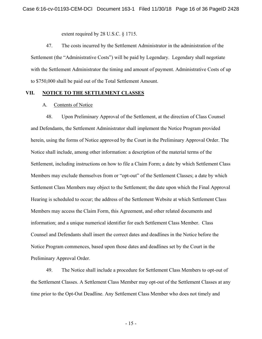extent required by 28 U.S.C. § 1715.

47. The costs incurred by the Settlement Administrator in the administration of the Settlement (the "Administrative Costs") will be paid by Legendary. Legendary shall negotiate with the Settlement Administrator the timing and amount of payment. Administrative Costs of up to \$750,000 shall be paid out of the Total Settlement Amount.

## **VII. NOTICE TO THE SETTLEMENT CLASSES**

### A. Contents of Notice

48. Upon Preliminary Approval of the Settlement, at the direction of Class Counsel and Defendants, the Settlement Administrator shall implement the Notice Program provided herein, using the forms of Notice approved by the Court in the Preliminary Approval Order. The Notice shall include, among other information: a description of the material terms of the Settlement, including instructions on how to file a Claim Form; a date by which Settlement Class Members may exclude themselves from or "opt-out" of the Settlement Classes; a date by which Settlement Class Members may object to the Settlement; the date upon which the Final Approval Hearing is scheduled to occur; the address of the Settlement Website at which Settlement Class Members may access the Claim Form, this Agreement, and other related documents and information; and a unique numerical identifier for each Settlement Class Member. Class Counsel and Defendants shall insert the correct dates and deadlines in the Notice before the Notice Program commences, based upon those dates and deadlines set by the Court in the Preliminary Approval Order.

49. The Notice shall include a procedure for Settlement Class Members to opt-out of the Settlement Classes. A Settlement Class Member may opt-out of the Settlement Classes at any time prior to the Opt-Out Deadline. Any Settlement Class Member who does not timely and

- 15 -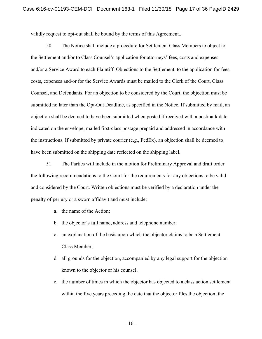validly request to opt-out shall be bound by the terms of this Agreement..

50. The Notice shall include a procedure for Settlement Class Members to object to the Settlement and/or to Class Counsel's application for attorneys' fees, costs and expenses and/or a Service Award to each Plaintiff. Objections to the Settlement, to the application for fees, costs, expenses and/or for the Service Awards must be mailed to the Clerk of the Court, Class Counsel, and Defendants. For an objection to be considered by the Court, the objection must be submitted no later than the Opt-Out Deadline, as specified in the Notice. If submitted by mail, an objection shall be deemed to have been submitted when posted if received with a postmark date indicated on the envelope, mailed first-class postage prepaid and addressed in accordance with the instructions. If submitted by private courier (e.g., FedEx), an objection shall be deemed to have been submitted on the shipping date reflected on the shipping label.

51. The Parties will include in the motion for Preliminary Approval and draft order the following recommendations to the Court for the requirements for any objections to be valid and considered by the Court. Written objections must be verified by a declaration under the penalty of perjury or a sworn affidavit and must include:

- a. the name of the Action;
- b. the objector's full name, address and telephone number;
- c. an explanation of the basis upon which the objector claims to be a Settlement Class Member;
- d. all grounds for the objection, accompanied by any legal support for the objection known to the objector or his counsel;
- e. the number of times in which the objector has objected to a class action settlement within the five years preceding the date that the objector files the objection, the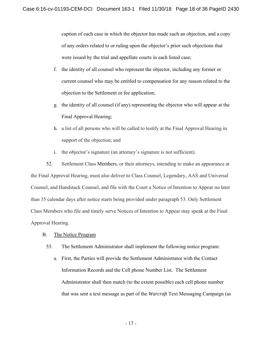caption of each case in which the objector has made such an objection, and a copy of any orders related to or ruling upon the objector's prior such objections that were issued by the trial and appellate courts in each listed case;

- f. the identity of all counsel who represent the objector, including any former or current counsel who may be entitled to compensation for any reason related to the objection to the Settlement or fee application;
- g. the identity of all counsel (if any) representing the objector who will appear at the Final Approval Hearing;
- h. a list of all persons who will be called to testify at the Final Approval Hearing in support of the objection; and
- i. the objector's signature (an attorney's signature is not sufficient).

52. Settlement Class Members, or their attorneys, intending to make an appearance at the Final Approval Hearing, must also deliver to Class Counsel, Legendary, AAS and Universal Counsel, and Handstack Counsel, and file with the Court a Notice of Intention to Appear no later than 35 calendar days after notice starts being provided under paragraph 53. Only Settlement Class Members who file and timely serve Notices of Intention to Appear may speak at the Final Approval Hearing.

- B. The Notice Program
	- 53. The Settlement Administrator shall implement the following notice program:
		- a. First, the Parties will provide the Settlement Administrator with the Contact Information Records and the Cell phone Number List. The Settlement Administrator shall then match (to the extent possible) each cell phone number that was sent a text message as part of the *Warcraft* Text Messaging Campaign (as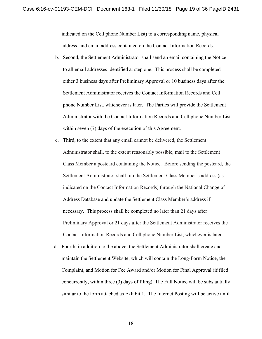indicated on the Cell phone Number List) to a corresponding name, physical address, and email address contained on the Contact Information Records.

- b. Second, the Settlement Administrator shall send an email containing the Notice to all email addresses identified at step one. This process shall be completed either 3 business days after Preliminary Approval or 10 business days after the Settlement Administrator receives the Contact Information Records and Cell phone Number List, whichever is later. The Parties will provide the Settlement Administrator with the Contact Information Records and Cell phone Number List within seven (7) days of the execution of this Agreement.
- c. Third, to the extent that any email cannot be delivered, the Settlement Administrator shall, to the extent reasonably possible, mail to the Settlement Class Member a postcard containing the Notice. Before sending the postcard, the Settlement Administrator shall run the Settlement Class Member's address (as indicated on the Contact Information Records) through the National Change of Address Database and update the Settlement Class Member's address if necessary. This process shall be completed no later than 21 days after Preliminary Approval or 21 days after the Settlement Administrator receives the Contact Information Records and Cell phone Number List, whichever is later.
- d. Fourth, in addition to the above, the Settlement Administrator shall create and maintain the Settlement Website, which will contain the Long-Form Notice, the Complaint, and Motion for Fee Award and/or Motion for Final Approval (if filed concurrently, within three (3) days of filing). The Full Notice will be substantially similar to the form attached as Exhibit 1. The Internet Posting will be active until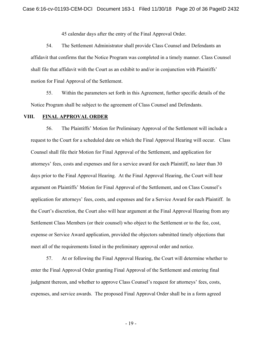45 calendar days after the entry of the Final Approval Order.

54. The Settlement Administrator shall provide Class Counsel and Defendants an affidavit that confirms that the Notice Program was completed in a timely manner. Class Counsel shall file that affidavit with the Court as an exhibit to and/or in conjunction with Plaintiffs' motion for Final Approval of the Settlement.

55. Within the parameters set forth in this Agreement, further specific details of the Notice Program shall be subject to the agreement of Class Counsel and Defendants.

#### **VIII. FINAL APPROVAL ORDER**

56. The Plaintiffs' Motion for Preliminary Approval of the Settlement will include a request to the Court for a scheduled date on which the Final Approval Hearing will occur. Class Counsel shall file their Motion for Final Approval of the Settlement, and application for attorneys' fees, costs and expenses and for a service award for each Plaintiff, no later than 30 days prior to the Final Approval Hearing. At the Final Approval Hearing, the Court will hear argument on Plaintiffs' Motion for Final Approval of the Settlement, and on Class Counsel's application for attorneys' fees, costs, and expenses and for a Service Award for each Plaintiff. In the Court's discretion, the Court also will hear argument at the Final Approval Hearing from any Settlement Class Members (or their counsel) who object to the Settlement or to the fee, cost, expense or Service Award application, provided the objectors submitted timely objections that meet all of the requirements listed in the preliminary approval order and notice.

57. At or following the Final Approval Hearing, the Court will determine whether to enter the Final Approval Order granting Final Approval of the Settlement and entering final judgment thereon, and whether to approve Class Counsel's request for attorneys' fees, costs, expenses, and service awards. The proposed Final Approval Order shall be in a form agreed

- 19 -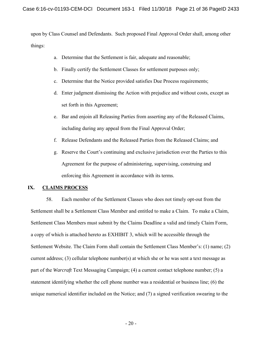upon by Class Counsel and Defendants. Such proposed Final Approval Order shall, among other things:

- a. Determine that the Settlement is fair, adequate and reasonable;
- b. Finally certify the Settlement Classes for settlement purposes only;
- c. Determine that the Notice provided satisfies Due Process requirements;
- d. Enter judgment dismissing the Action with prejudice and without costs, except as set forth in this Agreement;
- e. Bar and enjoin all Releasing Parties from asserting any of the Released Claims, including during any appeal from the Final Approval Order;
- f. Release Defendants and the Released Parties from the Released Claims; and
- g. Reserve the Court's continuing and exclusive jurisdiction over the Parties to this Agreement for the purpose of administering, supervising, construing and enforcing this Agreement in accordance with its terms.

# **IX. CLAIMS PROCESS**

58. Each member of the Settlement Classes who does not timely opt-out from the Settlement shall be a Settlement Class Member and entitled to make a Claim. To make a Claim, Settlement Class Members must submit by the Claims Deadline a valid and timely Claim Form, a copy of which is attached hereto as EXHIBIT 3, which will be accessible through the Settlement Website. The Claim Form shall contain the Settlement Class Member's: (1) name; (2) current address; (3) cellular telephone number(s) at which she or he was sent a text message as part of the *Warcraft* Text Messaging Campaign; (4) a current contact telephone number; (5) a statement identifying whether the cell phone number was a residential or business line; (6) the unique numerical identifier included on the Notice; and (7) a signed verification swearing to the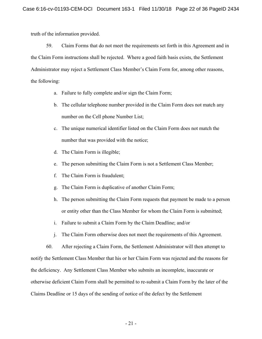truth of the information provided.

59. Claim Forms that do not meet the requirements set forth in this Agreement and in the Claim Form instructions shall be rejected. Where a good faith basis exists, the Settlement Administrator may reject a Settlement Class Member's Claim Form for, among other reasons, the following:

- a. Failure to fully complete and/or sign the Claim Form;
- b. The cellular telephone number provided in the Claim Form does not match any number on the Cell phone Number List;
- c. The unique numerical identifier listed on the Claim Form does not match the number that was provided with the notice;
- d. The Claim Form is illegible;
- e. The person submitting the Claim Form is not a Settlement Class Member;
- f. The Claim Form is fraudulent;
- g. The Claim Form is duplicative of another Claim Form;
- h. The person submitting the Claim Form requests that payment be made to a person or entity other than the Class Member for whom the Claim Form is submitted;
- i. Failure to submit a Claim Form by the Claim Deadline; and/or
- j. The Claim Form otherwise does not meet the requirements of this Agreement.

60. After rejecting a Claim Form, the Settlement Administrator will then attempt to notify the Settlement Class Member that his or her Claim Form was rejected and the reasons for the deficiency. Any Settlement Class Member who submits an incomplete, inaccurate or otherwise deficient Claim Form shall be permitted to re-submit a Claim Form by the later of the Claims Deadline or 15 days of the sending of notice of the defect by the Settlement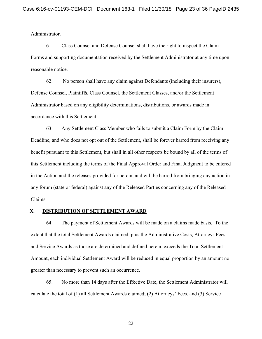Administrator.

61. Class Counsel and Defense Counsel shall have the right to inspect the Claim Forms and supporting documentation received by the Settlement Administrator at any time upon reasonable notice.

62. No person shall have any claim against Defendants (including their insurers), Defense Counsel, Plaintiffs, Class Counsel, the Settlement Classes, and/or the Settlement Administrator based on any eligibility determinations, distributions, or awards made in accordance with this Settlement.

63. Any Settlement Class Member who fails to submit a Claim Form by the Claim Deadline, and who does not opt out of the Settlement, shall be forever barred from receiving any benefit pursuant to this Settlement, but shall in all other respects be bound by all of the terms of this Settlement including the terms of the Final Approval Order and Final Judgment to be entered in the Action and the releases provided for herein, and will be barred from bringing any action in any forum (state or federal) against any of the Released Parties concerning any of the Released Claims.

## **X. DISTRIBUTION OF SETTLEMENT AWARD**

64. The payment of Settlement Awards will be made on a claims made basis. To the extent that the total Settlement Awards claimed, plus the Administrative Costs, Attorneys Fees, and Service Awards as those are determined and defined herein, exceeds the Total Settlement Amount, each individual Settlement Award will be reduced in equal proportion by an amount no greater than necessary to prevent such an occurrence.

65. No more than 14 days after the Effective Date, the Settlement Administrator will calculate the total of (1) all Settlement Awards claimed; (2) Attorneys' Fees, and (3) Service

- 22 -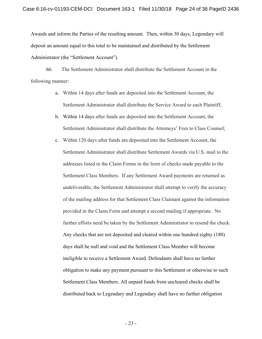Awards and inform the Parties of the resulting amount. Then, within 30 days, Legendary will deposit an amount equal to this total to be maintained and distributed by the Settlement Administrator (the "Settlement Account").

66. The Settlement Administrator shall distribute the Settlement Account in the following manner:

- a. Within 14 days after funds are deposited into the Settlement Account, the Settlement Administrator shall distribute the Service Award to each Plaintiff;
- b. Within 14 days after funds are deposited into the Settlement Account, the Settlement Administrator shall distribute the Attorneys' Fees to Class Counsel;
- c. Within 120 days after funds are deposited into the Settlement Account, the Settlement Administrator shall distribute Settlement Awards via U.S. mail to the addresses listed in the Claim Forms in the form of checks made payable to the Settlement Class Members. If any Settlement Award payments are returned as undeliverable, the Settlement Administrator shall attempt to verify the accuracy of the mailing address for that Settlement Class Claimant against the information provided in the Claim Form and attempt a second mailing if appropriate. No further efforts need be taken by the Settlement Administrator to resend the check. Any checks that are not deposited and cleared within one hundred eighty (180) days shall be null and void and the Settlement Class Member will become ineligible to receive a Settlement Award. Defendants shall have no further obligation to make any payment pursuant to this Settlement or otherwise to such Settlement Class Members. All unpaid funds from uncleared checks shall be distributed back to Legendary and Legendary shall have no further obligation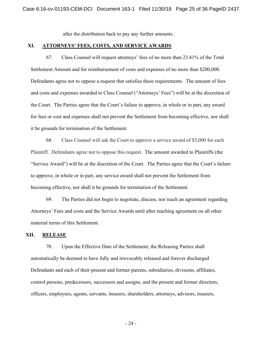after the distribution back to pay any further amounts.

### **XI. ATTORNEYS' FEES, COSTS, AND SERVICE AWARDS**

67. Class Counsel will request attorneys' fees of no more than 23.41% of the Total Settlement Amount and for reimbursement of costs and expenses of no more than \$200,000. Defendants agree not to oppose a request that satisfies these requirements. The amount of fees and costs and expenses awarded to Class Counsel ("Attorneys' Fees") will be at the discretion of the Court. The Parties agree that the Court's failure to approve, in whole or in part, any award for fees or cost and expenses shall not prevent the Settlement from becoming effective, nor shall it be grounds for termination of the Settlement.

68. Class Counsel will ask the Court to approve a service award of \$5,000 for each Plaintiff. Defendants agree not to oppose this request. The amount awarded to Plaintiffs (the "Service Award") will be at the discretion of the Court. The Parties agree that the Court's failure to approve, in whole or in part, any service award shall not prevent the Settlement from becoming effective, nor shall it be grounds for termination of the Settlement.

69. The Parties did not begin to negotiate, discuss, nor reach an agreement regarding Attorneys' Fees and costs and the Service Awards until after reaching agreement on all other material terms of this Settlement.

## **XII. RELEASE**

70. Upon the Effective Date of the Settlement, the Releasing Parties shall automatically be deemed to have fully and irrevocably released and forever discharged Defendants and each of their present and former parents, subsidiaries, divisions, affiliates, control persons, predecessors, successors and assigns, and the present and former directors, officers, employees, agents, servants, insurers, shareholders, attorneys, advisors, insurers,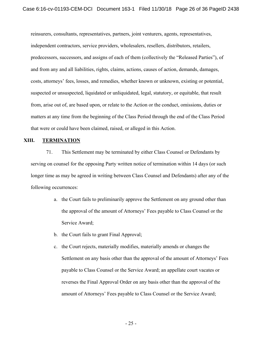reinsurers, consultants, representatives, partners, joint venturers, agents, representatives, independent contractors, service providers, wholesalers, resellers, distributors, retailers, predecessors, successors, and assigns of each of them (collectively the "Released Parties"), of and from any and all liabilities, rights, claims, actions, causes of action, demands, damages, costs, attorneys' fees, losses, and remedies, whether known or unknown, existing or potential, suspected or unsuspected, liquidated or unliquidated, legal, statutory, or equitable, that result from, arise out of, are based upon, or relate to the Action or the conduct, omissions, duties or matters at any time from the beginning of the Class Period through the end of the Class Period that were or could have been claimed, raised, or alleged in this Action.

# **XIII. TERMINATION**

71. This Settlement may be terminated by either Class Counsel or Defendants by serving on counsel for the opposing Party written notice of termination within 14 days (or such longer time as may be agreed in writing between Class Counsel and Defendants) after any of the following occurrences:

- a. the Court fails to preliminarily approve the Settlement on any ground other than the approval of the amount of Attorneys' Fees payable to Class Counsel or the Service Award;
- b. the Court fails to grant Final Approval;
- c. the Court rejects, materially modifies, materially amends or changes the Settlement on any basis other than the approval of the amount of Attorneys' Fees payable to Class Counsel or the Service Award; an appellate court vacates or reverses the Final Approval Order on any basis other than the approval of the amount of Attorneys' Fees payable to Class Counsel or the Service Award;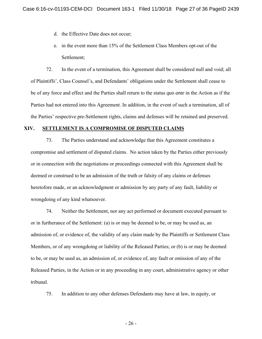- d. the Effective Date does not occur;
- e. in the event more than 15% of the Settlement Class Members opt-out of the Settlement;

72. In the event of a termination, this Agreement shall be considered null and void; all of Plaintiffs', Class Counsel's, and Defendants' obligations under the Settlement shall cease to be of any force and effect and the Parties shall return to the status *quo ante* in the Action as if the Parties had not entered into this Agreement. In addition, in the event of such a termination, all of the Parties' respective pre-Settlement rights, claims and defenses will be retained and preserved.

# **XIV. SETTLEMENT IS A COMPROMISE OF DISPUTED CLAIMS**

73. The Parties understand and acknowledge that this Agreement constitutes a compromise and settlement of disputed claims. No action taken by the Parties either previously or in connection with the negotiations or proceedings connected with this Agreement shall be deemed or construed to be an admission of the truth or falsity of any claims or defenses heretofore made, or an acknowledgment or admission by any party of any fault, liability or wrongdoing of any kind whatsoever.

74. Neither the Settlement, nor any act performed or document executed pursuant to or in furtherance of the Settlement: (a) is or may be deemed to be, or may be used as, an admission of, or evidence of, the validity of any claim made by the Plaintiffs or Settlement Class Members, or of any wrongdoing or liability of the Released Parties; or (b) is or may be deemed to be, or may be used as, an admission of, or evidence of, any fault or omission of any of the Released Parties, in the Action or in any proceeding in any court, administrative agency or other tribunal.

75. In addition to any other defenses Defendants may have at law, in equity, or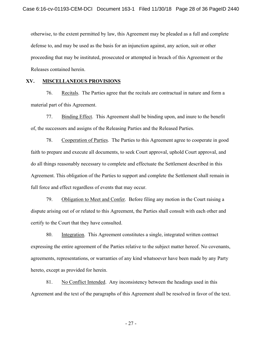otherwise, to the extent permitted by law, this Agreement may be pleaded as a full and complete defense to, and may be used as the basis for an injunction against, any action, suit or other proceeding that may be instituted, prosecuted or attempted in breach of this Agreement or the Releases contained herein.

## **XV. MISCELLANEOUS PROVISIONS**

76. Recitals. The Parties agree that the recitals are contractual in nature and form a material part of this Agreement.

77. Binding Effect. This Agreement shall be binding upon, and inure to the benefit of, the successors and assigns of the Releasing Parties and the Released Parties.

78. Cooperation of Parties. The Parties to this Agreement agree to cooperate in good faith to prepare and execute all documents, to seek Court approval, uphold Court approval, and do all things reasonably necessary to complete and effectuate the Settlement described in this Agreement. This obligation of the Parties to support and complete the Settlement shall remain in full force and effect regardless of events that may occur.

79. Obligation to Meet and Confer. Before filing any motion in the Court raising a dispute arising out of or related to this Agreement, the Parties shall consult with each other and certify to the Court that they have consulted.

80. Integration. This Agreement constitutes a single, integrated written contract expressing the entire agreement of the Parties relative to the subject matter hereof. No covenants, agreements, representations, or warranties of any kind whatsoever have been made by any Party hereto, except as provided for herein.

81. No Conflict Intended. Any inconsistency between the headings used in this Agreement and the text of the paragraphs of this Agreement shall be resolved in favor of the text.

- 27 -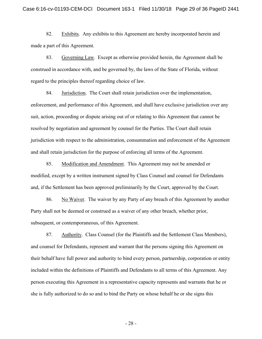82. Exhibits. Any exhibits to this Agreement are hereby incorporated herein and made a part of this Agreement.

83. Governing Law. Except as otherwise provided herein, the Agreement shall be construed in accordance with, and be governed by, the laws of the State of Florida, without regard to the principles thereof regarding choice of law.

84. Jurisdiction. The Court shall retain jurisdiction over the implementation, enforcement, and performance of this Agreement, and shall have exclusive jurisdiction over any suit, action, proceeding or dispute arising out of or relating to this Agreement that cannot be resolved by negotiation and agreement by counsel for the Parties. The Court shall retain jurisdiction with respect to the administration, consummation and enforcement of the Agreement and shall retain jurisdiction for the purpose of enforcing all terms of the Agreement.

85. Modification and Amendment. This Agreement may not be amended or modified, except by a written instrument signed by Class Counsel and counsel for Defendants and, if the Settlement has been approved preliminarily by the Court, approved by the Court.

86. No Waiver. The waiver by any Party of any breach of this Agreement by another Party shall not be deemed or construed as a waiver of any other breach, whether prior, subsequent, or contemporaneous, of this Agreement.

87. Authority. Class Counsel (for the Plaintiffs and the Settlement Class Members), and counsel for Defendants, represent and warrant that the persons signing this Agreement on their behalf have full power and authority to bind every person, partnership, corporation or entity included within the definitions of Plaintiffs and Defendants to all terms of this Agreement. Any person executing this Agreement in a representative capacity represents and warrants that he or she is fully authorized to do so and to bind the Party on whose behalf he or she signs this

- 28 -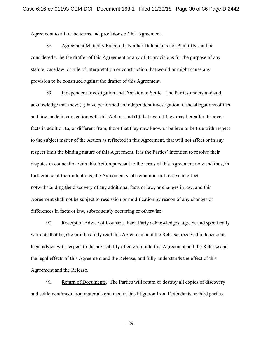Agreement to all of the terms and provisions of this Agreement.

88. Agreement Mutually Prepared. Neither Defendants nor Plaintiffs shall be considered to be the drafter of this Agreement or any of its provisions for the purpose of any statute, case law, or rule of interpretation or construction that would or might cause any provision to be construed against the drafter of this Agreement.

89. Independent Investigation and Decision to Settle. The Parties understand and acknowledge that they: (a) have performed an independent investigation of the allegations of fact and law made in connection with this Action; and (b) that even if they may hereafter discover facts in addition to, or different from, those that they now know or believe to be true with respect to the subject matter of the Action as reflected in this Agreement, that will not affect or in any respect limit the binding nature of this Agreement. It is the Parties' intention to resolve their disputes in connection with this Action pursuant to the terms of this Agreement now and thus, in furtherance of their intentions, the Agreement shall remain in full force and effect notwithstanding the discovery of any additional facts or law, or changes in law, and this Agreement shall not be subject to rescission or modification by reason of any changes or differences in facts or law, subsequently occurring or otherwise

90. Receipt of Advice of Counsel. Each Party acknowledges, agrees, and specifically warrants that he, she or it has fully read this Agreement and the Release, received independent legal advice with respect to the advisability of entering into this Agreement and the Release and the legal effects of this Agreement and the Release, and fully understands the effect of this Agreement and the Release.

91. Return of Documents. The Parties will return or destroy all copies of discovery and settlement/mediation materials obtained in this litigation from Defendants or third parties

- 29 -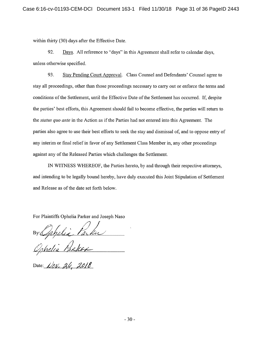within thirty (30) days after the Effective Date.

92. Days. All reference to "days" in this Agreement shall refer to calendar days, unless otherwise specified.

93. Stay Pending Court Approval. Class Counsel and Defendants' Counsel agree to stay all proceedings, other than those proceedings necessary to carry out or enforce the terms and conditions of the Settlement, until the Effective Date of the Settlement has occurred. If, despite the parties' best efforts, this Agreement should fail to become effective, the parties will return to the *status quo ante* in the Action as if the Parties had not entered into this Agreement. The parties also agree to use their best efforts to seek the stay and dismissal of, and to oppose entry of any interim or final relief in favor of any Settlement Class Member in, any other proceedings against any of the Released Parties which challenges the Settlement.

IN WITNESS WHEREOF, the Parties hereto, by and through their respective attorneys, and intending to be legally bound hereby, have duly executed this Joint Stipulation of Settlement and Release as of the date set forth below.

For Plaintiffs Ophelia Parker and Joseph Naso

By Ophelia Parku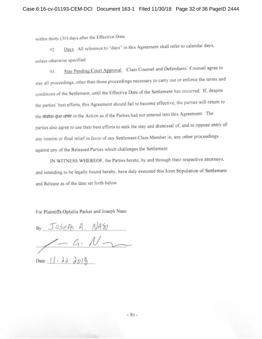within thirty (30) days after the Effective Date.

Days. All reference to "days" in this Agreement shall refer to calendar days, 92. unless otherwise specified.

Stay Pending Court Approval. Class Counsel and Defendants' Counsel agree to 93. stay all proceedings, other than those proceedings necessary to carry out or enforce the terms and conditions of the Settlement, until the Effective Date of the Settlement has occurred. If, despite the parties' best efforts, this Agreement should fail to become effective, the parties will return to the status quo ante in the Action as if the Parties had not entered into this Agreement. The parties also agree to use their best efforts to seek the stay and dismissal of, and to oppose entry of any interim or final relief in favor of any Settlement Class Member in, any other proceedings against any of the Released Parties which challenges the Settlement.

IN WITNESS WHEREOF, the Parties hereto, by and through their respective attorneys, and intending to be legally bound hereby, have duly executed this Joint Stipulation of Settlement and Release as of the date set forth below.

For Plaintiffs Ophelia Parker and Joseph Naso

By: Joseph A. Naso Date: 11. 22. 2019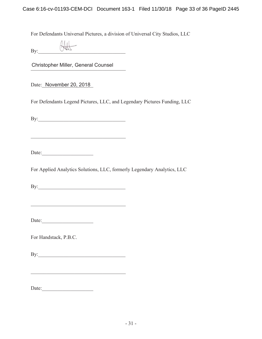For Defendants Universal Pictures, a division of Universal City Studios, LLC

| By: |  |
|-----|--|
|     |  |

Christopher Miller, General Counsel

Date: November 20, 2018

For Defendants Legend Pictures, LLC, and Legendary Pictures Funding, LLC

%\BBBBBBBBBBBBBBBBBBBBBBBBBBBBBBBBBB

Date:

For Applied Analytics Solutions, LLC, formerly Legendary Analytics, LLC

By:

Date:

For Handstack, P.B.C.

By:

'DWHBBBBBBBBBBBBBBBBBBBB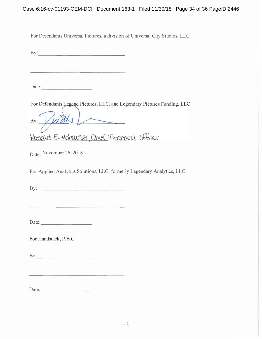For Defendants Universal Pictures, a division of Universal City Studios, LLC

1 2-----

Date:  $\qquad \qquad$ 

 $\mathcal{L}(\mathbb{R}^d)$ 

For Defendants Legend Pictures, LLC, and Legendary Pictures Funding, LLC

With  $By:$ Ronald E. Hohawser, Chief Financial Officer

Date: November 26, 2018

For Applied Analytics Solutions, LLC, formerly Legendary Analytics, LLC

1 222

. 2

For Handstack, P.B.C.

By:

Date: and the set of the set of the set of the set of the set of the set of the set of the set of the set of the set of the set of the set of the set of the set of the set of the set of the set of the set of the set of the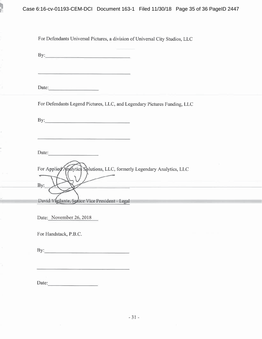

| For Defendants Universal Pictures, a division of Universal City Studios, LLC                                                                               |
|------------------------------------------------------------------------------------------------------------------------------------------------------------|
| $\mathbf{By:}$                                                                                                                                             |
| <u> El seu de la companya de la companya de la companya de la companya de la companya de la companya de la compa</u>                                       |
| Date:                                                                                                                                                      |
| For Defendants Legend Pictures, LLC, and Legendary Pictures Funding, LLC                                                                                   |
|                                                                                                                                                            |
| <u> 1989 - Andrea San Andrew Maria (m. 1989)</u>                                                                                                           |
| Date:                                                                                                                                                      |
| For Applied Analytics Solutions, LLC, formerly Legendary Analytics, LLC<br>By:<br><u> 1989 - Andrea Andrew Maria (h. 1989).</u><br>Andrew Maria (h. 1989). |
| David Vlgilante, Senior Vice President - Legal and Contract Contract of the Contract of the Contract of the Co                                             |
| Date: November 26, 2018                                                                                                                                    |
|                                                                                                                                                            |
| For Handstack, P.B.C.                                                                                                                                      |
|                                                                                                                                                            |

Date:

 $\overline{\phantom{a}}$